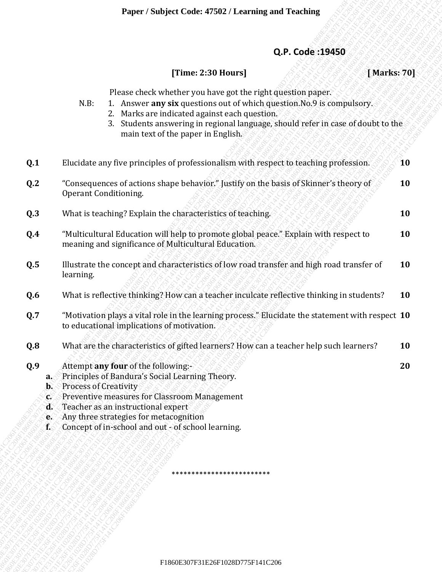## **Q.P. Code :19450**

## **[Time: 2:30 Hours] [ Marks: 70]**

- N.B: 1. Answer **any six** questions out of which question.No.9 is compulsory.
	- 2. Marks are indicated against each question.
	- 3. Students answering in regional language, should refer in case of doubt to the main text of the paper in English.

|                                                                                       |                                                                                                                |                                                                                                                                                                                                                                                                              | Paper / Subject Code: 47502 / Learning and Teaching |                                                                                                                                                          |             |
|---------------------------------------------------------------------------------------|----------------------------------------------------------------------------------------------------------------|------------------------------------------------------------------------------------------------------------------------------------------------------------------------------------------------------------------------------------------------------------------------------|-----------------------------------------------------|----------------------------------------------------------------------------------------------------------------------------------------------------------|-------------|
|                                                                                       |                                                                                                                |                                                                                                                                                                                                                                                                              |                                                     | Q.P. Code: 19450                                                                                                                                         |             |
|                                                                                       |                                                                                                                |                                                                                                                                                                                                                                                                              | [Time: 2:30 Hours]                                  |                                                                                                                                                          | [Marks: 70] |
|                                                                                       | N.B:                                                                                                           | Please check whether you have got the right question paper.<br>2.<br>3.<br>main text of the paper in English.                                                                                                                                                                | Marks are indicated against each question.          | 1. Answer any six questions out of which question. No. 9 is compulsory.<br>Students answering in regional language, should refer in case of doubt to the |             |
| Q.1                                                                                   |                                                                                                                |                                                                                                                                                                                                                                                                              |                                                     | Elucidate any five principles of professionalism with respect to teaching profession.                                                                    | <b>10</b>   |
| Q.2                                                                                   | "Consequences of actions shape behavior." Justify on the basis of Skinner's theory of<br>Operant Conditioning. |                                                                                                                                                                                                                                                                              |                                                     | 10                                                                                                                                                       |             |
| Q.3                                                                                   |                                                                                                                | What is teaching? Explain the characteristics of teaching.                                                                                                                                                                                                                   |                                                     |                                                                                                                                                          | 10          |
| Q.4                                                                                   |                                                                                                                | meaning and significance of Multicultural Education.                                                                                                                                                                                                                         |                                                     | "Multicultural Education will help to promote global peace." Explain with respect to                                                                     | 10          |
| Q.5                                                                                   | learning.                                                                                                      |                                                                                                                                                                                                                                                                              |                                                     | Illustrate the concept and characteristics of low road transfer and high road transfer of                                                                | 10          |
| Q.6                                                                                   |                                                                                                                |                                                                                                                                                                                                                                                                              |                                                     | What is reflective thinking? How can a teacher inculcate reflective thinking in students?                                                                | 10          |
| Q.7                                                                                   |                                                                                                                | to educational implications of motivation.                                                                                                                                                                                                                                   |                                                     | "Motivation plays a vital role in the learning process." Elucidate the statement with respect 10                                                         |             |
| Q.8                                                                                   |                                                                                                                |                                                                                                                                                                                                                                                                              |                                                     | What are the characteristics of gifted learners? How can a teacher help such learners?                                                                   | 10          |
| Q.9<br>$a_{\sim}$<br>$\mathbf{b}$ .<br>$\mathbf{C}$<br>ď<br>œ.<br>$\mathbf{f}_{\leq}$ | <b>Process of Creativity</b>                                                                                   | Attempt any four of the following:-<br>Principles of Bandura's Social Learning Theory.<br>Preventive measures for Classroom Management<br>Teacher as an instructional expert<br>Any three strategies for metacognition<br>Concept of in-school and out - of school learning. |                                                     |                                                                                                                                                          | 20          |
|                                                                                       |                                                                                                                |                                                                                                                                                                                                                                                                              |                                                     |                                                                                                                                                          |             |
|                                                                                       |                                                                                                                |                                                                                                                                                                                                                                                                              | ************************                            |                                                                                                                                                          |             |
|                                                                                       |                                                                                                                |                                                                                                                                                                                                                                                                              |                                                     |                                                                                                                                                          |             |
|                                                                                       |                                                                                                                |                                                                                                                                                                                                                                                                              | F1860E307F31E26F1028D775F141C206                    |                                                                                                                                                          |             |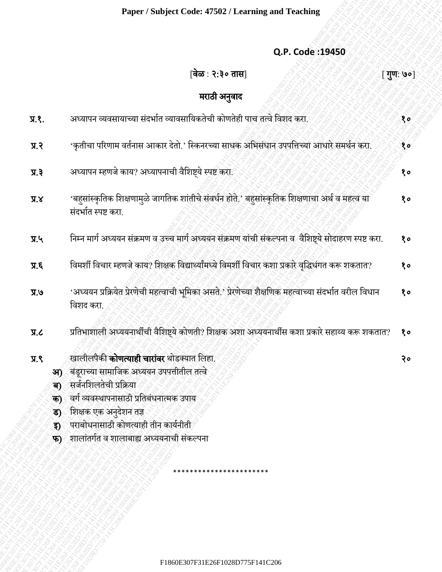## **Q.P. Code :19450**

|                    | Paper / Subject Code: 47502 / Learning and Teaching                                                                      |            |
|--------------------|--------------------------------------------------------------------------------------------------------------------------|------------|
|                    | Q.P. Code: 19450                                                                                                         |            |
|                    | वेळ : २:३० तास                                                                                                           | [ गुण: ७०] |
|                    | मराठी अनुवाद                                                                                                             |            |
| <b>A.S.</b>        | अध्यापन व्यवसायाच्या संदर्भात व्यावसायिकतेची कोणतेही पाच तत्वे विशद करा.                                                 | १०         |
| 9.8                | 'कृतीचा परिणाम वर्तनास आकार देतो.' स्किनरच्या साधक अभिसंधान उपपत्तिच्या आधारे समर्थन करा.                                | १०         |
| 5.7                | अध्यापन म्हणजे काय? अध्यापनाची वैशिष्ट्ये स्पष्ट करा.                                                                    | १०         |
| X.X                | 'बहुसांस्कृतिक शिक्षणामुळे जागतिक शांतीचे संवर्धन होते.' बहुसांस्कृतिक शिक्षणाचा अर्थ व महत्व या<br>संदर्भात स्पष्ट करा. | 80         |
| $\mathbf{y}$ .     | निम्न मार्ग अध्ययन संक्रमण व उच्च मार्ग अध्ययन संक्रमण यांची संकल्पना व वैशिष्ट्ये सोदाहरण स्पष्ट करा.                   | १०         |
| $\overline{J}$ . K | विमर्शी विचार म्हणजे काय? शिक्षक विद्यार्थ्यांमध्ये विमर्शी विचार कशा प्रकारे वृद्धिधंगत करू शकतात?                      | १०         |
| $V$ .              | 'अध्ययन प्रक्रियेत प्रेरणेची महत्वाची भूमिका असते.' प्रेरणेच्या शैक्षणिक महत्वाच्या संदर्भात वरील विधान<br>विशद करा.     | १०         |
| J.R                | प्रतिभाशाली अध्ययनार्थीची वैशिष्ट्ये कोणती? शिक्षक अशा अध्ययनार्थीस कशा प्रकारे सहाय्य करू शकतात?                        | 80         |
| 9.8<br>आ)          | खालीलपैकी <b>कोणत्याही चारांवर</b> थोडक्यात लिहा.<br>बंडूराच्या सामाजिक अध्ययन उपपत्तीतील तत्वे                          | २०         |
| ক)                 | सर्जनशिलतेची प्रक्रिया                                                                                                   |            |
| क)                 | वर्ग व्यवस्थापनासाठी प्रतिबंधनात्मक उपाय                                                                                 |            |
| ड)                 | शिक्षक एक अनुदेशन तज्ञ                                                                                                   |            |
| <u>इ)</u>          | पराबोधनासाठी कोणत्याही तीन कार्यनीती                                                                                     |            |
| फ)                 | शालांतर्गत व शालाबाह्य अध्ययनाची संकल्पना                                                                                |            |
|                    |                                                                                                                          |            |
|                    |                                                                                                                          |            |
|                    |                                                                                                                          |            |
|                    |                                                                                                                          |            |
|                    |                                                                                                                          |            |
|                    |                                                                                                                          |            |
|                    |                                                                                                                          |            |
|                    | F1860E307F31E26F1028D775F141C206                                                                                         |            |